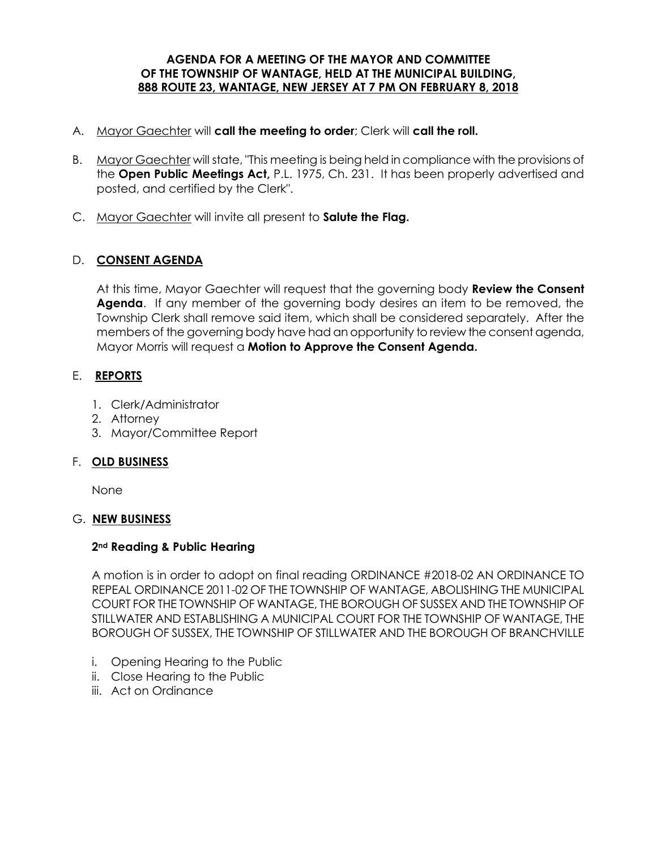#### **AGENDA FOR A MEETING OF THE MAYOR AND COMMITTEE OF THE TOWNSHIP OF WANTAGE, HELD AT THE MUNICIPAL BUILDING, 888 ROUTE 23, WANTAGE, NEW JERSEY AT 7 PM ON FEBRUARY 8, 2018**

- A. Mayor Gaechter will **call the meeting to order**; Clerk will **call the roll.**
- B. Mayor Gaechter will state, "This meeting is being held in compliance with the provisions of the **Open Public Meetings Act,** P.L. 1975, Ch. 231. It has been properly advertised and posted, and certified by the Clerk".
- C. Mayor Gaechter will invite all present to **Salute the Flag.**

# D. **CONSENT AGENDA**

At this time, Mayor Gaechter will request that the governing body **Review the Consent Agenda**. If any member of the governing body desires an item to be removed, the Township Clerk shall remove said item, which shall be considered separately. After the members of the governing body have had an opportunity to review the consent agenda, Mayor Morris will request a **Motion to Approve the Consent Agenda.** 

### E. **REPORTS**

- 1. Clerk/Administrator
- 2. Attorney
- 3. Mayor/Committee Report

### F. **OLD BUSINESS**

None

# G. **NEW BUSINESS**

### **2nd Reading & Public Hearing**

A motion is in order to adopt on final reading ORDINANCE #2018-02 AN ORDINANCE TO REPEAL ORDINANCE 2011-02 OF THE TOWNSHIP OF WANTAGE, ABOLISHING THE MUNICIPAL COURT FOR THE TOWNSHIP OF WANTAGE, THE BOROUGH OF SUSSEX AND THE TOWNSHIP OF STILLWATER AND ESTABLISHING A MUNICIPAL COURT FOR THE TOWNSHIP OF WANTAGE, THE BOROUGH OF SUSSEX, THE TOWNSHIP OF STILLWATER AND THE BOROUGH OF BRANCHVILLE

- i. Opening Hearing to the Public
- ii. Close Hearing to the Public
- iii. Act on Ordinance